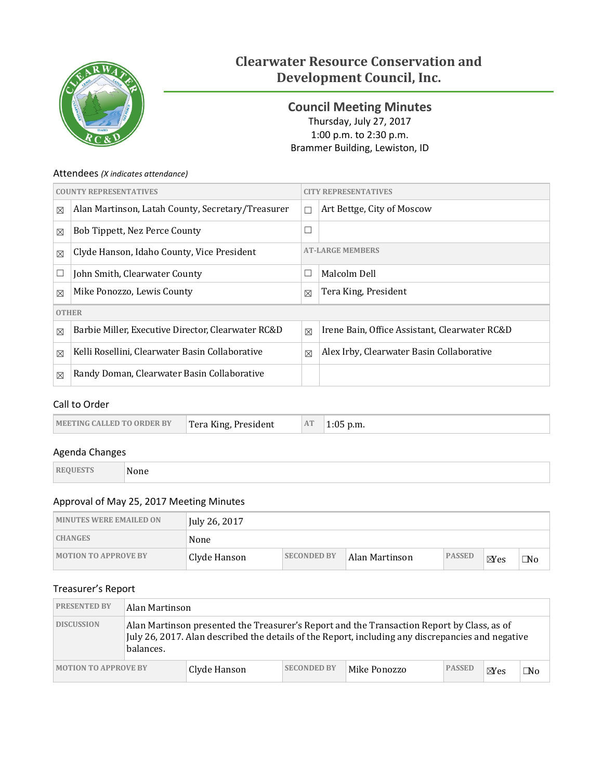

# **Clearwater Resource Conservation and Development Council, Inc.**

<span id="page-0-0"></span>**Council Meeting Minutes** Thursday, July 27, 2017 1:00 p.m. to 2:30 p.m. Brammer Building, Lewiston, ID

## Attendees *(X indicates attendance)*

| <b>COUNTY REPRESENTATIVES</b> |                                                    | <b>CITY REPRESENTATIVES</b> |                                               |  |
|-------------------------------|----------------------------------------------------|-----------------------------|-----------------------------------------------|--|
| $\boxtimes$                   | Alan Martinson, Latah County, Secretary/Treasurer  | П                           | Art Bettge, City of Moscow                    |  |
| $\boxtimes$                   | Bob Tippett, Nez Perce County                      | $\Box$                      |                                               |  |
| $\boxtimes$                   | Clyde Hanson, Idaho County, Vice President         | <b>AT-LARGE MEMBERS</b>     |                                               |  |
| $\Box$                        | John Smith, Clearwater County                      | $\Box$                      | Malcolm Dell                                  |  |
| $\boxtimes$                   | Mike Ponozzo, Lewis County                         | $\boxtimes$                 | Tera King, President                          |  |
| <b>OTHER</b>                  |                                                    |                             |                                               |  |
| $\boxtimes$                   | Barbie Miller, Executive Director, Clearwater RC&D | $\boxtimes$                 | Irene Bain, Office Assistant, Clearwater RC&D |  |
| $\boxtimes$                   | Kelli Rosellini, Clearwater Basin Collaborative    | $\boxtimes$                 | Alex Irby, Clearwater Basin Collaborative     |  |
| $\boxtimes$                   | Randy Doman, Clearwater Basin Collaborative        |                             |                                               |  |

## Call to Order

| AT<br><b>IMEETING CALLED TO ORDER BY</b><br>Tera King, President<br>p.m. |
|--------------------------------------------------------------------------|
|--------------------------------------------------------------------------|

## Agenda Changes

**REQUESTS** None

Approval of May 25, 2017 Meeting Minutes

| <b>MINUTES WERE EMAILED ON</b> | July 26, 2017 |                    |                |               |                |           |
|--------------------------------|---------------|--------------------|----------------|---------------|----------------|-----------|
| <b>CHANGES</b>                 | None          |                    |                |               |                |           |
| <b>MOTION TO APPROVE BY</b>    | Clyde Hanson  | <b>SECONDED BY</b> | Alan Martinson | <b>PASSED</b> | $\boxtimes$ es | $\Box$ No |

# Treasurer's Report

| <b>PRESENTED BY</b>         | Alan Martinson                                                                                                                                                                                               |              |                    |              |               |                |    |
|-----------------------------|--------------------------------------------------------------------------------------------------------------------------------------------------------------------------------------------------------------|--------------|--------------------|--------------|---------------|----------------|----|
| <b>DISCUSSION</b>           | Alan Martinson presented the Treasurer's Report and the Transaction Report by Class, as of<br>July 26, 2017. Alan described the details of the Report, including any discrepancies and negative<br>balances. |              |                    |              |               |                |    |
| <b>MOTION TO APPROVE BY</b> |                                                                                                                                                                                                              | Clyde Hanson | <b>SECONDED BY</b> | Mike Ponozzo | <b>PASSED</b> | $\boxtimes$ es | ™o |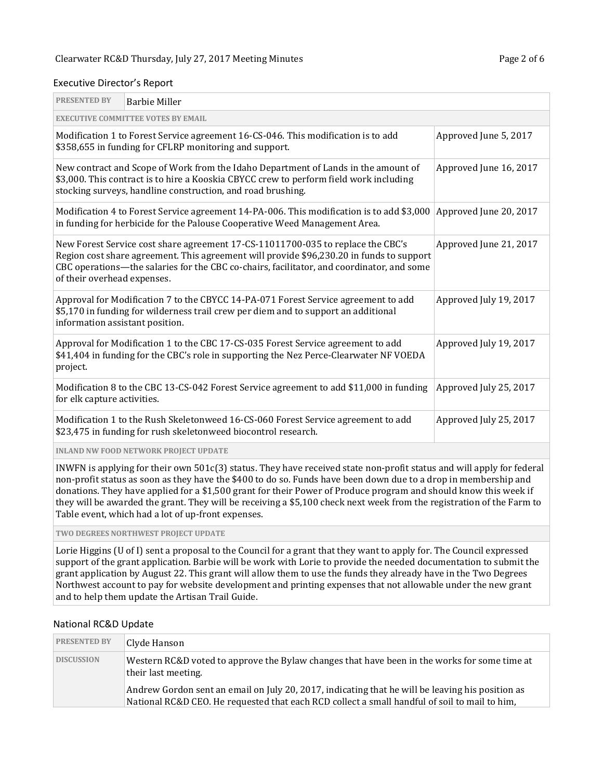#### Executive Director's Report

| <b>PRESENTED BY</b>                                                                                                                                                                                                                                                                                     | <b>Barbie Miller</b>                                                                                                                                                                                                                                                  |                        |  |  |  |
|---------------------------------------------------------------------------------------------------------------------------------------------------------------------------------------------------------------------------------------------------------------------------------------------------------|-----------------------------------------------------------------------------------------------------------------------------------------------------------------------------------------------------------------------------------------------------------------------|------------------------|--|--|--|
| <b>EXECUTIVE COMMITTEE VOTES BY EMAIL</b>                                                                                                                                                                                                                                                               |                                                                                                                                                                                                                                                                       |                        |  |  |  |
|                                                                                                                                                                                                                                                                                                         | Modification 1 to Forest Service agreement 16-CS-046. This modification is to add<br>Approved June 5, 2017<br>\$358,655 in funding for CFLRP monitoring and support.                                                                                                  |                        |  |  |  |
|                                                                                                                                                                                                                                                                                                         | New contract and Scope of Work from the Idaho Department of Lands in the amount of<br>Approved June 16, 2017<br>\$3,000. This contract is to hire a Kooskia CBYCC crew to perform field work including<br>stocking surveys, handline construction, and road brushing. |                        |  |  |  |
|                                                                                                                                                                                                                                                                                                         | Modification 4 to Forest Service agreement 14-PA-006. This modification is to add \$3,000<br>in funding for herbicide for the Palouse Cooperative Weed Management Area.                                                                                               | Approved June 20, 2017 |  |  |  |
| New Forest Service cost share agreement 17-CS-11011700-035 to replace the CBC's<br>Region cost share agreement. This agreement will provide \$96,230.20 in funds to support<br>CBC operations—the salaries for the CBC co-chairs, facilitator, and coordinator, and some<br>of their overhead expenses. | Approved June 21, 2017                                                                                                                                                                                                                                                |                        |  |  |  |
| information assistant position.                                                                                                                                                                                                                                                                         | Approval for Modification 7 to the CBYCC 14-PA-071 Forest Service agreement to add<br>\$5,170 in funding for wilderness trail crew per diem and to support an additional                                                                                              | Approved July 19, 2017 |  |  |  |
| project.                                                                                                                                                                                                                                                                                                | Approval for Modification 1 to the CBC 17-CS-035 Forest Service agreement to add<br>\$41,404 in funding for the CBC's role in supporting the Nez Perce-Clearwater NF VOEDA                                                                                            | Approved July 19, 2017 |  |  |  |
| for elk capture activities.                                                                                                                                                                                                                                                                             | Modification 8 to the CBC 13-CS-042 Forest Service agreement to add \$11,000 in funding                                                                                                                                                                               | Approved July 25, 2017 |  |  |  |
|                                                                                                                                                                                                                                                                                                         | Modification 1 to the Rush Skeletonweed 16-CS-060 Forest Service agreement to add<br>\$23,475 in funding for rush skeletonweed biocontrol research.                                                                                                                   | Approved July 25, 2017 |  |  |  |
|                                                                                                                                                                                                                                                                                                         | <b>INLAND NW FOOD NETWORK PROJECT UPDATE</b>                                                                                                                                                                                                                          |                        |  |  |  |

INWFN is applying for their own 501c(3) status. They have received state non-profit status and will apply for federal non-profit status as soon as they have the \$400 to do so. Funds have been down due to a drop in membership and donations. They have applied for a \$1,500 grant for their Power of Produce program and should know this week if they will be awarded the grant. They will be receiving a \$5,100 check next week from the registration of the Farm to Table event, which had a lot of up-front expenses.

### **TWO DEGREES NORTHWEST PROJECT UPDATE**

Lorie Higgins (U of I) sent a proposal to the Council for a grant that they want to apply for. The Council expressed support of the grant application. Barbie will be work with Lorie to provide the needed documentation to submit the grant application by August 22. This grant will allow them to use the funds they already have in the Two Degrees Northwest account to pay for website development and printing expenses that not allowable under the new grant and to help them update the Artisan Trail Guide.

#### National RC&D Update

| <b>PRESENTED BY</b> | Clyde Hanson                                                                                                                                                                                      |
|---------------------|---------------------------------------------------------------------------------------------------------------------------------------------------------------------------------------------------|
| <b>DISCUSSION</b>   | Western RC&D voted to approve the Bylaw changes that have been in the works for some time at<br>their last meeting.                                                                               |
|                     | Andrew Gordon sent an email on July 20, 2017, indicating that he will be leaving his position as<br>National RC&D CEO. He requested that each RCD collect a small handful of soil to mail to him, |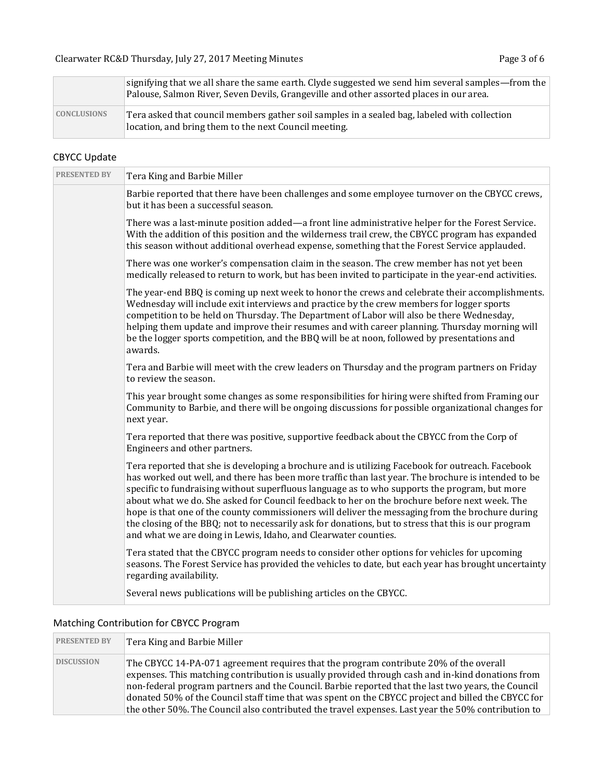|                    | signifying that we all share the same earth. Clyde suggested we send him several samples—from the<br>Palouse, Salmon River, Seven Devils, Grangeville and other assorted places in our area. |
|--------------------|----------------------------------------------------------------------------------------------------------------------------------------------------------------------------------------------|
| <b>CONCLUSIONS</b> | Tera asked that council members gather soil samples in a sealed bag, labeled with collection<br>location, and bring them to the next Council meeting.                                        |

# CBYCC Update

| <b>PRESENTED BY</b> | Tera King and Barbie Miller                                                                                                                                                                                                                                                                                                                                                                                                                                                                                                                                                                                                                                                              |
|---------------------|------------------------------------------------------------------------------------------------------------------------------------------------------------------------------------------------------------------------------------------------------------------------------------------------------------------------------------------------------------------------------------------------------------------------------------------------------------------------------------------------------------------------------------------------------------------------------------------------------------------------------------------------------------------------------------------|
|                     | Barbie reported that there have been challenges and some employee turnover on the CBYCC crews,<br>but it has been a successful season.                                                                                                                                                                                                                                                                                                                                                                                                                                                                                                                                                   |
|                     | There was a last-minute position added—a front line administrative helper for the Forest Service.<br>With the addition of this position and the wilderness trail crew, the CBYCC program has expanded<br>this season without additional overhead expense, something that the Forest Service applauded.                                                                                                                                                                                                                                                                                                                                                                                   |
|                     | There was one worker's compensation claim in the season. The crew member has not yet been<br>medically released to return to work, but has been invited to participate in the year-end activities.                                                                                                                                                                                                                                                                                                                                                                                                                                                                                       |
|                     | The year-end BBQ is coming up next week to honor the crews and celebrate their accomplishments.<br>Wednesday will include exit interviews and practice by the crew members for logger sports<br>competition to be held on Thursday. The Department of Labor will also be there Wednesday,<br>helping them update and improve their resumes and with career planning. Thursday morning will<br>be the logger sports competition, and the BBQ will be at noon, followed by presentations and<br>awards.                                                                                                                                                                                    |
|                     | Tera and Barbie will meet with the crew leaders on Thursday and the program partners on Friday<br>to review the season.                                                                                                                                                                                                                                                                                                                                                                                                                                                                                                                                                                  |
|                     | This year brought some changes as some responsibilities for hiring were shifted from Framing our<br>Community to Barbie, and there will be ongoing discussions for possible organizational changes for<br>next year.                                                                                                                                                                                                                                                                                                                                                                                                                                                                     |
|                     | Tera reported that there was positive, supportive feedback about the CBYCC from the Corp of<br>Engineers and other partners.                                                                                                                                                                                                                                                                                                                                                                                                                                                                                                                                                             |
|                     | Tera reported that she is developing a brochure and is utilizing Facebook for outreach. Facebook<br>has worked out well, and there has been more traffic than last year. The brochure is intended to be<br>specific to fundraising without superfluous language as to who supports the program, but more<br>about what we do. She asked for Council feedback to her on the brochure before next week. The<br>hope is that one of the county commissioners will deliver the messaging from the brochure during<br>the closing of the BBQ; not to necessarily ask for donations, but to stress that this is our program<br>and what we are doing in Lewis, Idaho, and Clearwater counties. |
|                     | Tera stated that the CBYCC program needs to consider other options for vehicles for upcoming<br>seasons. The Forest Service has provided the vehicles to date, but each year has brought uncertainty<br>regarding availability.                                                                                                                                                                                                                                                                                                                                                                                                                                                          |
|                     | Several news publications will be publishing articles on the CBYCC.                                                                                                                                                                                                                                                                                                                                                                                                                                                                                                                                                                                                                      |

# Matching Contribution for CBYCC Program

| <b>PRESENTED BY</b> | Tera King and Barbie Miller                                                                                                                                                                                                                                                                                                                                                                                                                                                                                 |
|---------------------|-------------------------------------------------------------------------------------------------------------------------------------------------------------------------------------------------------------------------------------------------------------------------------------------------------------------------------------------------------------------------------------------------------------------------------------------------------------------------------------------------------------|
| <b>DISCUSSION</b>   | The CBYCC 14-PA-071 agreement requires that the program contribute 20% of the overall<br>expenses. This matching contribution is usually provided through cash and in-kind donations from<br>non-federal program partners and the Council. Barbie reported that the last two years, the Council<br>donated 50% of the Council staff time that was spent on the CBYCC project and billed the CBYCC for<br>the other 50%. The Council also contributed the travel expenses. Last year the 50% contribution to |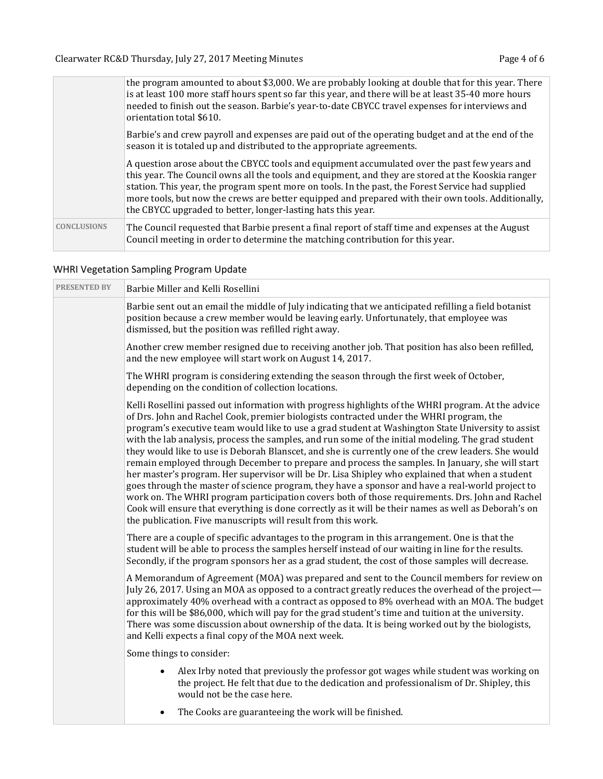|                    | the program amounted to about \$3,000. We are probably looking at double that for this year. There<br>is at least 100 more staff hours spent so far this year, and there will be at least 35-40 more hours<br>needed to finish out the season. Barbie's year-to-date CBYCC travel expenses for interviews and<br>orientation total \$610.                                                                                                                                     |
|--------------------|-------------------------------------------------------------------------------------------------------------------------------------------------------------------------------------------------------------------------------------------------------------------------------------------------------------------------------------------------------------------------------------------------------------------------------------------------------------------------------|
|                    | Barbie's and crew payroll and expenses are paid out of the operating budget and at the end of the<br>season it is totaled up and distributed to the appropriate agreements.                                                                                                                                                                                                                                                                                                   |
|                    | A question arose about the CBYCC tools and equipment accumulated over the past few years and<br>this year. The Council owns all the tools and equipment, and they are stored at the Kooskia ranger<br>station. This year, the program spent more on tools. In the past, the Forest Service had supplied<br>more tools, but now the crews are better equipped and prepared with their own tools. Additionally,<br>the CBYCC upgraded to better, longer-lasting hats this year. |
| <b>CONCLUSIONS</b> | The Council requested that Barbie present a final report of staff time and expenses at the August<br>Council meeting in order to determine the matching contribution for this year.                                                                                                                                                                                                                                                                                           |

# WHRI Vegetation Sampling Program Update

| <b>PRESENTED BY</b> | Barbie Miller and Kelli Rosellini                                                                                                                                                                                                                                                                                                                                                                                                                                                                                                                                                                                                                                                                                                                                                                                                                                                                                                                                                                                                                                                                      |
|---------------------|--------------------------------------------------------------------------------------------------------------------------------------------------------------------------------------------------------------------------------------------------------------------------------------------------------------------------------------------------------------------------------------------------------------------------------------------------------------------------------------------------------------------------------------------------------------------------------------------------------------------------------------------------------------------------------------------------------------------------------------------------------------------------------------------------------------------------------------------------------------------------------------------------------------------------------------------------------------------------------------------------------------------------------------------------------------------------------------------------------|
|                     | Barbie sent out an email the middle of July indicating that we anticipated refilling a field botanist<br>position because a crew member would be leaving early. Unfortunately, that employee was<br>dismissed, but the position was refilled right away.                                                                                                                                                                                                                                                                                                                                                                                                                                                                                                                                                                                                                                                                                                                                                                                                                                               |
|                     | Another crew member resigned due to receiving another job. That position has also been refilled,<br>and the new employee will start work on August 14, 2017.                                                                                                                                                                                                                                                                                                                                                                                                                                                                                                                                                                                                                                                                                                                                                                                                                                                                                                                                           |
|                     | The WHRI program is considering extending the season through the first week of October,<br>depending on the condition of collection locations.                                                                                                                                                                                                                                                                                                                                                                                                                                                                                                                                                                                                                                                                                                                                                                                                                                                                                                                                                         |
|                     | Kelli Rosellini passed out information with progress highlights of the WHRI program. At the advice<br>of Drs. John and Rachel Cook, premier biologists contracted under the WHRI program, the<br>program's executive team would like to use a grad student at Washington State University to assist<br>with the lab analysis, process the samples, and run some of the initial modeling. The grad student<br>they would like to use is Deborah Blanscet, and she is currently one of the crew leaders. She would<br>remain employed through December to prepare and process the samples. In January, she will start<br>her master's program. Her supervisor will be Dr. Lisa Shipley who explained that when a student<br>goes through the master of science program, they have a sponsor and have a real-world project to<br>work on. The WHRI program participation covers both of those requirements. Drs. John and Rachel<br>Cook will ensure that everything is done correctly as it will be their names as well as Deborah's on<br>the publication. Five manuscripts will result from this work. |
|                     | There are a couple of specific advantages to the program in this arrangement. One is that the<br>student will be able to process the samples herself instead of our waiting in line for the results.<br>Secondly, if the program sponsors her as a grad student, the cost of those samples will decrease.                                                                                                                                                                                                                                                                                                                                                                                                                                                                                                                                                                                                                                                                                                                                                                                              |
|                     | A Memorandum of Agreement (MOA) was prepared and sent to the Council members for review on<br>July 26, 2017. Using an MOA as opposed to a contract greatly reduces the overhead of the project—<br>approximately 40% overhead with a contract as opposed to 8% overhead with an MOA. The budget<br>for this will be \$86,000, which will pay for the grad student's time and tuition at the university.<br>There was some discussion about ownership of the data. It is being worked out by the biologists,<br>and Kelli expects a final copy of the MOA next week.                                                                                                                                                                                                                                                                                                                                                                                                                                                                                                                                    |
|                     | Some things to consider:                                                                                                                                                                                                                                                                                                                                                                                                                                                                                                                                                                                                                                                                                                                                                                                                                                                                                                                                                                                                                                                                               |
|                     | Alex Irby noted that previously the professor got wages while student was working on<br>$\bullet$<br>the project. He felt that due to the dedication and professionalism of Dr. Shipley, this<br>would not be the case here.                                                                                                                                                                                                                                                                                                                                                                                                                                                                                                                                                                                                                                                                                                                                                                                                                                                                           |

• The Cooks are guaranteeing the work will be finished.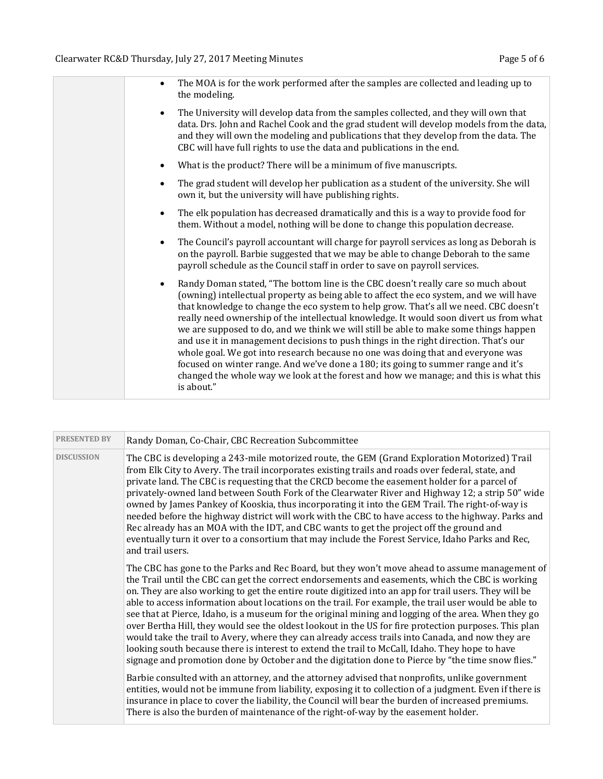| The MOA is for the work performed after the samples are collected and leading up to<br>the modeling.                                                                                                                                                                                                                                                                                                                                                                                                                                                                                                                                                                                                                                                                                                                                       |
|--------------------------------------------------------------------------------------------------------------------------------------------------------------------------------------------------------------------------------------------------------------------------------------------------------------------------------------------------------------------------------------------------------------------------------------------------------------------------------------------------------------------------------------------------------------------------------------------------------------------------------------------------------------------------------------------------------------------------------------------------------------------------------------------------------------------------------------------|
| The University will develop data from the samples collected, and they will own that<br>$\bullet$<br>data. Drs. John and Rachel Cook and the grad student will develop models from the data,<br>and they will own the modeling and publications that they develop from the data. The<br>CBC will have full rights to use the data and publications in the end.                                                                                                                                                                                                                                                                                                                                                                                                                                                                              |
| What is the product? There will be a minimum of five manuscripts.                                                                                                                                                                                                                                                                                                                                                                                                                                                                                                                                                                                                                                                                                                                                                                          |
| The grad student will develop her publication as a student of the university. She will<br>$\bullet$<br>own it, but the university will have publishing rights.                                                                                                                                                                                                                                                                                                                                                                                                                                                                                                                                                                                                                                                                             |
| The elk population has decreased dramatically and this is a way to provide food for<br>$\bullet$<br>them. Without a model, nothing will be done to change this population decrease.                                                                                                                                                                                                                                                                                                                                                                                                                                                                                                                                                                                                                                                        |
| The Council's payroll accountant will charge for payroll services as long as Deborah is<br>$\bullet$<br>on the payroll. Barbie suggested that we may be able to change Deborah to the same<br>payroll schedule as the Council staff in order to save on payroll services.                                                                                                                                                                                                                                                                                                                                                                                                                                                                                                                                                                  |
| Randy Doman stated, "The bottom line is the CBC doesn't really care so much about<br>$\bullet$<br>(owning) intellectual property as being able to affect the eco system, and we will have<br>that knowledge to change the eco system to help grow. That's all we need. CBC doesn't<br>really need ownership of the intellectual knowledge. It would soon divert us from what<br>we are supposed to do, and we think we will still be able to make some things happen<br>and use it in management decisions to push things in the right direction. That's our<br>whole goal. We got into research because no one was doing that and everyone was<br>focused on winter range. And we've done a 180; its going to summer range and it's<br>changed the whole way we look at the forest and how we manage; and this is what this<br>is about." |

| <b>PRESENTED BY</b> | Randy Doman, Co-Chair, CBC Recreation Subcommittee                                                                                                                                                                                                                                                                                                                                                                                                                                                                                                                                                                                                                                                                                                                                                                                                                                                                                                 |
|---------------------|----------------------------------------------------------------------------------------------------------------------------------------------------------------------------------------------------------------------------------------------------------------------------------------------------------------------------------------------------------------------------------------------------------------------------------------------------------------------------------------------------------------------------------------------------------------------------------------------------------------------------------------------------------------------------------------------------------------------------------------------------------------------------------------------------------------------------------------------------------------------------------------------------------------------------------------------------|
| <b>DISCUSSION</b>   | The CBC is developing a 243-mile motorized route, the GEM (Grand Exploration Motorized) Trail<br>from Elk City to Avery. The trail incorporates existing trails and roads over federal, state, and<br>private land. The CBC is requesting that the CRCD become the easement holder for a parcel of<br>privately-owned land between South Fork of the Clearwater River and Highway 12; a strip 50" wide<br>owned by James Pankey of Kooskia, thus incorporating it into the GEM Trail. The right-of-way is<br>needed before the highway district will work with the CBC to have access to the highway. Parks and<br>Rec already has an MOA with the IDT, and CBC wants to get the project off the ground and<br>eventually turn it over to a consortium that may include the Forest Service, Idaho Parks and Rec,<br>and trail users.                                                                                                               |
|                     | The CBC has gone to the Parks and Rec Board, but they won't move ahead to assume management of<br>the Trail until the CBC can get the correct endorsements and easements, which the CBC is working<br>on. They are also working to get the entire route digitized into an app for trail users. They will be<br>able to access information about locations on the trail. For example, the trail user would be able to<br>see that at Pierce, Idaho, is a museum for the original mining and logging of the area. When they go<br>over Bertha Hill, they would see the oldest lookout in the US for fire protection purposes. This plan<br>would take the trail to Avery, where they can already access trails into Canada, and now they are<br>looking south because there is interest to extend the trail to McCall, Idaho. They hope to have<br>signage and promotion done by October and the digitation done to Pierce by "the time snow flies." |
|                     | Barbie consulted with an attorney, and the attorney advised that nonprofits, unlike government<br>entities, would not be immune from liability, exposing it to collection of a judgment. Even if there is<br>insurance in place to cover the liability, the Council will bear the burden of increased premiums.<br>There is also the burden of maintenance of the right-of-way by the easement holder.                                                                                                                                                                                                                                                                                                                                                                                                                                                                                                                                             |